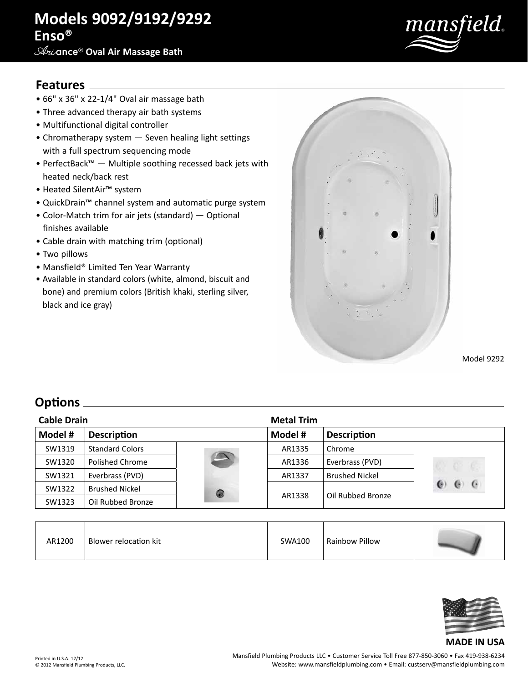# **Models 9092/9192/9292 Enso®**

### **Ari**ance® **Oval Air Massage Bath**



### **Features**

- 66" x 36" x 22-1/4" Oval air massage bath
- Three advanced therapy air bath systems
- Multifunctional digital controller
- Chromatherapy system Seven healing light settings with a full spectrum sequencing mode
- PerfectBack™ Multiple soothing recessed back jets with heated neck/back rest
- Heated SilentAir™ system
- QuickDrain™ channel system and automatic purge system
- Color-Match trim for air jets (standard) Optional finishes available
- Cable drain with matching trim (optional)
- Two pillows
- Mansfield® Limited Ten Year Warranty
- Available in standard colors (white, almond, biscuit and bone) and premium colors (British khaki, sterling silver, black and ice gray)



Model 9292

# **Options**

| <b>Cable Drain</b> |                        |               | <b>Metal Trim</b> |                       |            |
|--------------------|------------------------|---------------|-------------------|-----------------------|------------|
| Model #            | <b>Description</b>     |               | Model #           | <b>Description</b>    |            |
| SW1319             | <b>Standard Colors</b> |               | AR1335            | Chrome                |            |
| SW1320             | Polished Chrome        | $\rightarrow$ | AR1336            | Everbrass (PVD)       |            |
| SW1321             | Everbrass (PVD)        |               | AR1337            | <b>Brushed Nickel</b> |            |
| SW1322             | <b>Brushed Nickel</b>  | 0             | AR1338            | Oil Rubbed Bronze     | $\epsilon$ |
| SW1323             | Oil Rubbed Bronze      |               |                   |                       |            |

| AR1200 | Blower relocation kit | SWA100 | Rainbow Pillow |  |
|--------|-----------------------|--------|----------------|--|
|--------|-----------------------|--------|----------------|--|



#### **MADE IN USA**